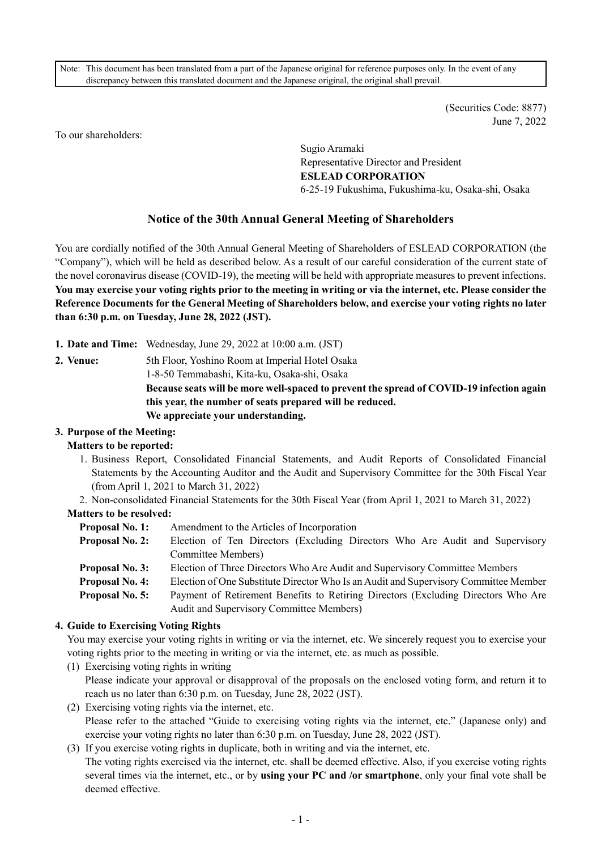Note: This document has been translated from a part of the Japanese original for reference purposes only. In the event of any discrepancy between this translated document and the Japanese original, the original shall prevail.

> (Securities Code: 8877) June 7, 2022

To our shareholders:

Sugio Aramaki Representative Director and President **ESLEAD CORPORATION**  6-25-19 Fukushima, Fukushima-ku, Osaka-shi, Osaka

# **Notice of the 30th Annual General Meeting of Shareholders**

You are cordially notified of the 30th Annual General Meeting of Shareholders of ESLEAD CORPORATION (the "Company"), which will be held as described below. As a result of our careful consideration of the current state of the novel coronavirus disease (COVID-19), the meeting will be held with appropriate measures to prevent infections. **You may exercise your voting rights prior to the meeting in writing or via the internet, etc. Please consider the Reference Documents for the General Meeting of Shareholders below, and exercise your voting rights no later than 6:30 p.m. on Tuesday, June 28, 2022 (JST).** 

**1. Date and Time:** Wednesday, June 29, 2022 at 10:00 a.m. (JST)

**2. Venue:** 5th Floor, Yoshino Room at Imperial Hotel Osaka 1-8-50 Temmabashi, Kita-ku, Osaka-shi, Osaka **Because seats will be more well-spaced to prevent the spread of COVID-19 infection again this year, the number of seats prepared will be reduced. We appreciate your understanding.** 

# **3. Purpose of the Meeting:**

# **Matters to be reported:**

- 1. Business Report, Consolidated Financial Statements, and Audit Reports of Consolidated Financial Statements by the Accounting Auditor and the Audit and Supervisory Committee for the 30th Fiscal Year (from April 1, 2021 to March 31, 2022)
- 2. Non-consolidated Financial Statements for the 30th Fiscal Year (from April 1, 2021 to March 31, 2022)

# **Matters to be resolved:**

- **Proposal No. 1:** Amendment to the Articles of Incorporation
- **Proposal No. 2:** Election of Ten Directors (Excluding Directors Who Are Audit and Supervisory Committee Members)
- **Proposal No. 3:** Election of Three Directors Who Are Audit and Supervisory Committee Members
- **Proposal No. 4:** Election of One Substitute Director Who Is an Audit and Supervisory Committee Member
- **Proposal No. 5:** Payment of Retirement Benefits to Retiring Directors (Excluding Directors Who Are Audit and Supervisory Committee Members)

# **4. Guide to Exercising Voting Rights**

You may exercise your voting rights in writing or via the internet, etc. We sincerely request you to exercise your voting rights prior to the meeting in writing or via the internet, etc. as much as possible.

- (1) Exercising voting rights in writing Please indicate your approval or disapproval of the proposals on the enclosed voting form, and return it to reach us no later than 6:30 p.m. on Tuesday, June 28, 2022 (JST).
- (2) Exercising voting rights via the internet, etc. Please refer to the attached "Guide to exercising voting rights via the internet, etc." (Japanese only) and exercise your voting rights no later than 6:30 p.m. on Tuesday, June 28, 2022 (JST).
- (3) If you exercise voting rights in duplicate, both in writing and via the internet, etc. The voting rights exercised via the internet, etc. shall be deemed effective. Also, if you exercise voting rights several times via the internet, etc., or by **using your PC and /or smartphone**, only your final vote shall be deemed effective.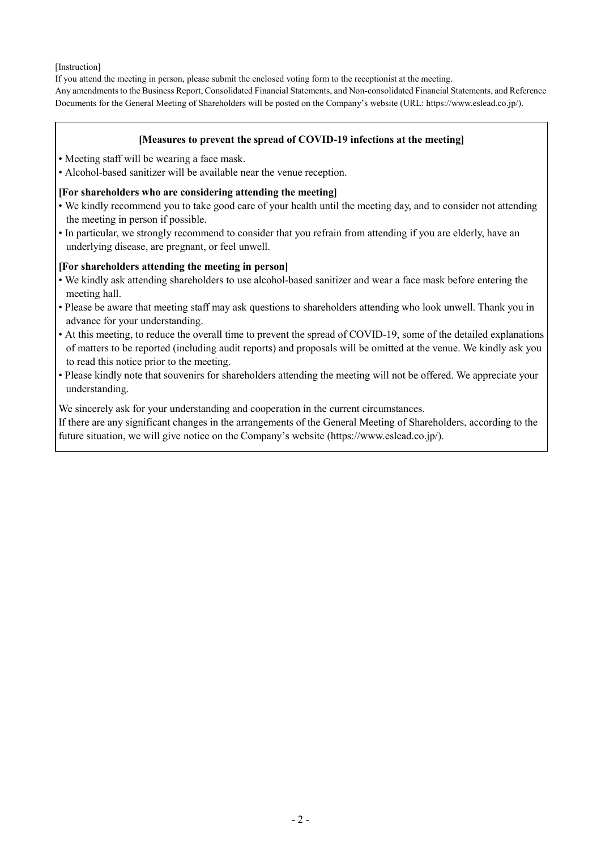[Instruction]

If you attend the meeting in person, please submit the enclosed voting form to the receptionist at the meeting.

Any amendments to the Business Report, Consolidated Financial Statements, and Non-consolidated Financial Statements, and Reference Documents for the General Meeting of Shareholders will be posted on the Company's website (URL: https://www.eslead.co.jp/).

### **[Measures to prevent the spread of COVID-19 infections at the meeting]**

- Meeting staff will be wearing a face mask.
- Alcohol-based sanitizer will be available near the venue reception.

### **[For shareholders who are considering attending the meeting]**

- We kindly recommend you to take good care of your health until the meeting day, and to consider not attending the meeting in person if possible.
- In particular, we strongly recommend to consider that you refrain from attending if you are elderly, have an underlying disease, are pregnant, or feel unwell.

### **[For shareholders attending the meeting in person]**

- We kindly ask attending shareholders to use alcohol-based sanitizer and wear a face mask before entering the meeting hall.
- Please be aware that meeting staff may ask questions to shareholders attending who look unwell. Thank you in advance for your understanding.
- At this meeting, to reduce the overall time to prevent the spread of COVID-19, some of the detailed explanations of matters to be reported (including audit reports) and proposals will be omitted at the venue. We kindly ask you to read this notice prior to the meeting.
- Please kindly note that souvenirs for shareholders attending the meeting will not be offered. We appreciate your understanding.

We sincerely ask for your understanding and cooperation in the current circumstances.

If there are any significant changes in the arrangements of the General Meeting of Shareholders, according to the future situation, we will give notice on the Company's website (https://www.eslead.co.jp/).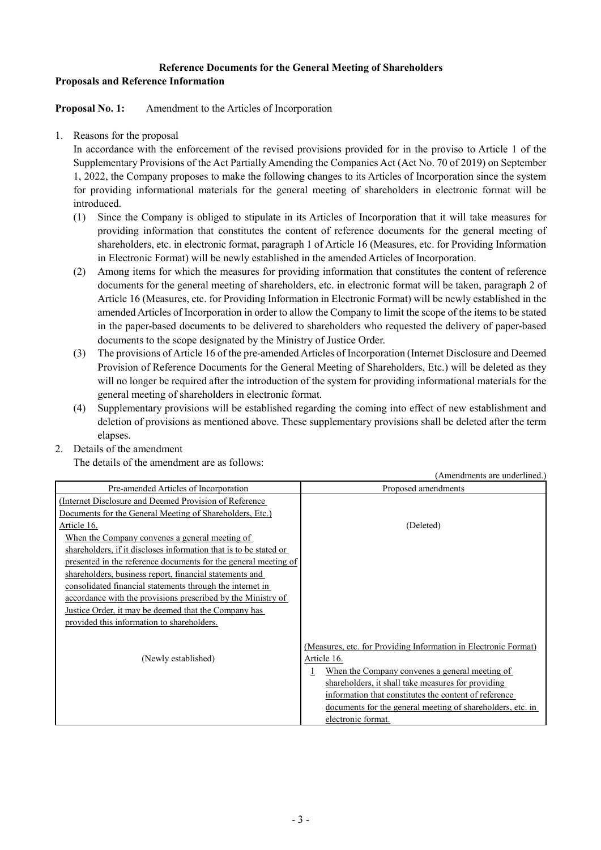# **Reference Documents for the General Meeting of Shareholders Proposals and Reference Information**

**Proposal No. 1:** Amendment to the Articles of Incorporation

1. Reasons for the proposal

In accordance with the enforcement of the revised provisions provided for in the proviso to Article 1 of the Supplementary Provisions of the Act Partially Amending the Companies Act (Act No. 70 of 2019) on September 1, 2022, the Company proposes to make the following changes to its Articles of Incorporation since the system for providing informational materials for the general meeting of shareholders in electronic format will be introduced.

- (1) Since the Company is obliged to stipulate in its Articles of Incorporation that it will take measures for providing information that constitutes the content of reference documents for the general meeting of shareholders, etc. in electronic format, paragraph 1 of Article 16 (Measures, etc. for Providing Information in Electronic Format) will be newly established in the amended Articles of Incorporation.
- (2) Among items for which the measures for providing information that constitutes the content of reference documents for the general meeting of shareholders, etc. in electronic format will be taken, paragraph 2 of Article 16 (Measures, etc. for Providing Information in Electronic Format) will be newly established in the amended Articles of Incorporation in order to allow the Company to limit the scope of the items to be stated in the paper-based documents to be delivered to shareholders who requested the delivery of paper-based documents to the scope designated by the Ministry of Justice Order.
- (3) The provisions of Article 16 of the pre-amended Articles of Incorporation (Internet Disclosure and Deemed Provision of Reference Documents for the General Meeting of Shareholders, Etc.) will be deleted as they will no longer be required after the introduction of the system for providing informational materials for the general meeting of shareholders in electronic format.
- (4) Supplementary provisions will be established regarding the coming into effect of new establishment and deletion of provisions as mentioned above. These supplementary provisions shall be deleted after the term elapses.
- 2. Details of the amendment

The details of the amendment are as follows:

|                                                                   | (Amendments are underlined.)                                    |
|-------------------------------------------------------------------|-----------------------------------------------------------------|
| Pre-amended Articles of Incorporation                             | Proposed amendments                                             |
| (Internet Disclosure and Deemed Provision of Reference)           |                                                                 |
| Documents for the General Meeting of Shareholders, Etc.)          |                                                                 |
| Article 16.                                                       | (Deleted)                                                       |
| When the Company convenes a general meeting of                    |                                                                 |
| shareholders, if it discloses information that is to be stated or |                                                                 |
| presented in the reference documents for the general meeting of   |                                                                 |
| shareholders, business report, financial statements and           |                                                                 |
| consolidated financial statements through the internet in         |                                                                 |
| accordance with the provisions prescribed by the Ministry of      |                                                                 |
| Justice Order, it may be deemed that the Company has              |                                                                 |
| provided this information to shareholders.                        |                                                                 |
|                                                                   |                                                                 |
|                                                                   | (Measures, etc. for Providing Information in Electronic Format) |
| (Newly established)                                               | Article 16.                                                     |
|                                                                   | When the Company convenes a general meeting of                  |
|                                                                   | shareholders, it shall take measures for providing              |
|                                                                   | information that constitutes the content of reference           |
|                                                                   | documents for the general meeting of shareholders, etc. in      |
|                                                                   | electronic format.                                              |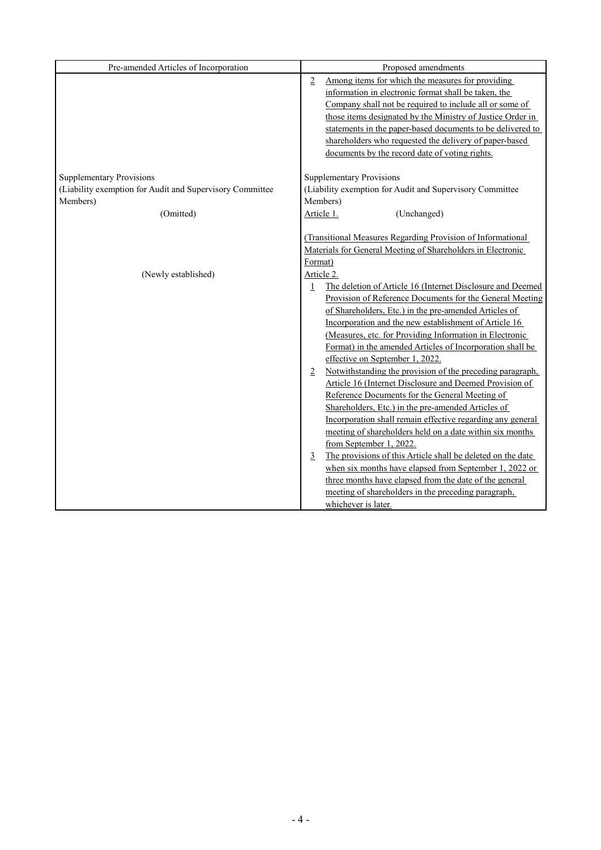| Pre-amended Articles of Incorporation                    | Proposed amendments                                                        |
|----------------------------------------------------------|----------------------------------------------------------------------------|
|                                                          | Among items for which the measures for providing<br>2                      |
|                                                          | information in electronic format shall be taken, the                       |
|                                                          | Company shall not be required to include all or some of                    |
|                                                          | those items designated by the Ministry of Justice Order in                 |
|                                                          | statements in the paper-based documents to be delivered to                 |
|                                                          | shareholders who requested the delivery of paper-based                     |
|                                                          | documents by the record date of voting rights.                             |
| <b>Supplementary Provisions</b>                          | <b>Supplementary Provisions</b>                                            |
| (Liability exemption for Audit and Supervisory Committee | (Liability exemption for Audit and Supervisory Committee                   |
| Members)                                                 | Members)                                                                   |
| (Omitted)                                                | Article 1.<br>(Unchanged)                                                  |
|                                                          |                                                                            |
|                                                          | (Transitional Measures Regarding Provision of Informational                |
|                                                          | Materials for General Meeting of Shareholders in Electronic                |
|                                                          | Format)                                                                    |
| (Newly established)                                      | Article 2.                                                                 |
|                                                          | The deletion of Article 16 (Internet Disclosure and Deemed<br>$\mathbf{1}$ |
|                                                          | Provision of Reference Documents for the General Meeting                   |
|                                                          | of Shareholders, Etc.) in the pre-amended Articles of                      |
|                                                          | Incorporation and the new establishment of Article 16                      |
|                                                          | (Measures, etc. for Providing Information in Electronic                    |
|                                                          | Format) in the amended Articles of Incorporation shall be                  |
|                                                          | effective on September 1, 2022.                                            |
|                                                          | Notwithstanding the provision of the preceding paragraph,<br>2             |
|                                                          | Article 16 (Internet Disclosure and Deemed Provision of                    |
|                                                          | Reference Documents for the General Meeting of                             |
|                                                          | Shareholders, Etc.) in the pre-amended Articles of                         |
|                                                          | Incorporation shall remain effective regarding any general                 |
|                                                          | meeting of shareholders held on a date within six months                   |
|                                                          | from September 1, 2022.                                                    |
|                                                          | The provisions of this Article shall be deleted on the date<br>3           |
|                                                          | when six months have elapsed from September 1, 2022 or                     |
|                                                          | three months have elapsed from the date of the general                     |
|                                                          | meeting of shareholders in the preceding paragraph,                        |
|                                                          | whichever is later.                                                        |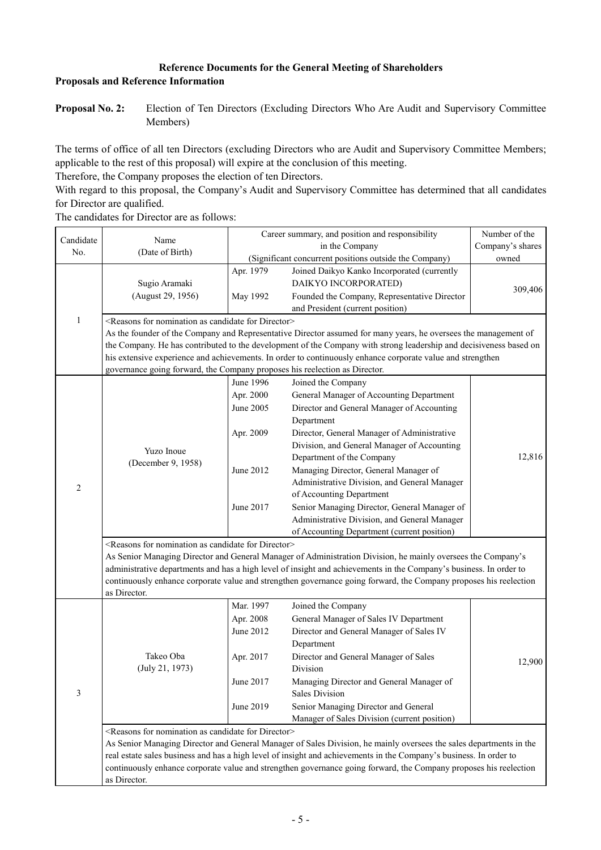# **Reference Documents for the General Meeting of Shareholders Proposals and Reference Information**

**Proposal No. 2:** Election of Ten Directors (Excluding Directors Who Are Audit and Supervisory Committee Members)

The terms of office of all ten Directors (excluding Directors who are Audit and Supervisory Committee Members; applicable to the rest of this proposal) will expire at the conclusion of this meeting.

Therefore, the Company proposes the election of ten Directors.

With regard to this proposal, the Company's Audit and Supervisory Committee has determined that all candidates for Director are qualified.

The candidates for Director are as follows:

| Candidate<br>No. | Name<br>(Date of Birth)                                                                                                                                |                                                                            | Career summary, and position and responsibility<br>in the Company<br>(Significant concurrent positions outside the Company)                                                                                                                                                                                                                                                                                                                                                                                               | Number of the<br>Company's shares<br>owned |
|------------------|--------------------------------------------------------------------------------------------------------------------------------------------------------|----------------------------------------------------------------------------|---------------------------------------------------------------------------------------------------------------------------------------------------------------------------------------------------------------------------------------------------------------------------------------------------------------------------------------------------------------------------------------------------------------------------------------------------------------------------------------------------------------------------|--------------------------------------------|
|                  | Sugio Aramaki<br>(August 29, 1956)                                                                                                                     | Apr. 1979<br>May 1992                                                      | Joined Daikyo Kanko Incorporated (currently<br>DAIKYO INCORPORATED)<br>Founded the Company, Representative Director<br>and President (current position)                                                                                                                                                                                                                                                                                                                                                                   | 309,406                                    |
| $\mathbf{1}$     | <reasons as="" candidate="" director="" for="" nomination=""><br/>governance going forward, the Company proposes his reelection as Director.</reasons> |                                                                            | As the founder of the Company and Representative Director assumed for many years, he oversees the management of<br>the Company. He has contributed to the development of the Company with strong leadership and decisiveness based on<br>his extensive experience and achievements. In order to continuously enhance corporate value and strengthen                                                                                                                                                                       |                                            |
| $\overline{2}$   | Yuzo Inoue<br>(December 9, 1958)<br><reasons as="" candidate="" director="" for="" nomination=""></reasons>                                            | June 1996<br>Apr. 2000<br>June 2005<br>Apr. 2009<br>June 2012<br>June 2017 | Joined the Company<br>General Manager of Accounting Department<br>Director and General Manager of Accounting<br>Department<br>Director, General Manager of Administrative<br>Division, and General Manager of Accounting<br>Department of the Company<br>Managing Director, General Manager of<br>Administrative Division, and General Manager<br>of Accounting Department<br>Senior Managing Director, General Manager of<br>Administrative Division, and General Manager<br>of Accounting Department (current position) | 12,816                                     |
|                  | as Director.                                                                                                                                           |                                                                            | As Senior Managing Director and General Manager of Administration Division, he mainly oversees the Company's<br>administrative departments and has a high level of insight and achievements in the Company's business. In order to<br>continuously enhance corporate value and strengthen governance going forward, the Company proposes his reelection                                                                                                                                                                   |                                            |
| 3                | Takeo Oba<br>(July 21, 1973)                                                                                                                           | Mar. 1997<br>Apr. 2008<br>June 2012<br>Apr. 2017<br>June 2017<br>June 2019 | Joined the Company<br>General Manager of Sales IV Department<br>Director and General Manager of Sales IV<br>Department<br>Director and General Manager of Sales<br>Division<br>Managing Director and General Manager of<br><b>Sales Division</b><br>Senior Managing Director and General<br>Manager of Sales Division (current position)                                                                                                                                                                                  | 12,900                                     |
|                  | <reasons as="" candidate="" director="" for="" nomination=""><br/>as Director.</reasons>                                                               |                                                                            | As Senior Managing Director and General Manager of Sales Division, he mainly oversees the sales departments in the<br>real estate sales business and has a high level of insight and achievements in the Company's business. In order to<br>continuously enhance corporate value and strengthen governance going forward, the Company proposes his reelection                                                                                                                                                             |                                            |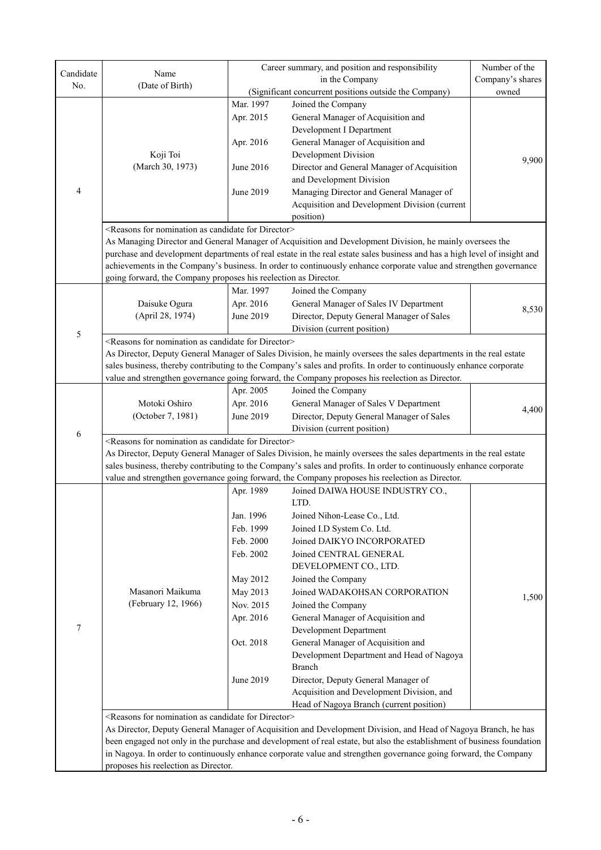| Candidate | Name                                                                    | Career summary, and position and responsibility |                                                                                                                           | Number of the |
|-----------|-------------------------------------------------------------------------|-------------------------------------------------|---------------------------------------------------------------------------------------------------------------------------|---------------|
| No.       | (Date of Birth)                                                         |                                                 | in the Company                                                                                                            |               |
|           |                                                                         |                                                 | (Significant concurrent positions outside the Company)                                                                    | owned         |
|           |                                                                         | Mar. 1997                                       | Joined the Company                                                                                                        |               |
|           | Apr. 2015                                                               | General Manager of Acquisition and              |                                                                                                                           |               |
|           |                                                                         |                                                 | Development I Department                                                                                                  |               |
|           |                                                                         | Apr. 2016                                       | General Manager of Acquisition and                                                                                        |               |
|           | Koji Toi                                                                |                                                 | Development Division                                                                                                      |               |
|           | (March 30, 1973)                                                        | June 2016                                       | Director and General Manager of Acquisition                                                                               | 9,900         |
|           |                                                                         |                                                 | and Development Division                                                                                                  |               |
| 4         |                                                                         | June 2019                                       | Managing Director and General Manager of                                                                                  |               |
|           |                                                                         |                                                 | Acquisition and Development Division (current                                                                             |               |
|           |                                                                         |                                                 | position)                                                                                                                 |               |
|           | <reasons as="" candidate="" director="" for="" nomination=""></reasons> |                                                 |                                                                                                                           |               |
|           |                                                                         |                                                 | As Managing Director and General Manager of Acquisition and Development Division, he mainly oversees the                  |               |
|           |                                                                         |                                                 | purchase and development departments of real estate in the real estate sales business and has a high level of insight and |               |
|           |                                                                         |                                                 | achievements in the Company's business. In order to continuously enhance corporate value and strengthen governance        |               |
|           | going forward, the Company proposes his reelection as Director.         |                                                 |                                                                                                                           |               |
|           |                                                                         | Mar. 1997                                       | Joined the Company                                                                                                        |               |
|           | Daisuke Ogura                                                           | Apr. 2016                                       | General Manager of Sales IV Department                                                                                    |               |
|           | (April 28, 1974)                                                        | June 2019                                       | Director, Deputy General Manager of Sales                                                                                 | 8,530         |
|           |                                                                         |                                                 | Division (current position)                                                                                               |               |
| 5         | <reasons as="" candidate="" director="" for="" nomination=""></reasons> |                                                 |                                                                                                                           |               |
|           |                                                                         |                                                 | As Director, Deputy General Manager of Sales Division, he mainly oversees the sales departments in the real estate        |               |
|           |                                                                         |                                                 | sales business, thereby contributing to the Company's sales and profits. In order to continuously enhance corporate       |               |
|           |                                                                         |                                                 | value and strengthen governance going forward, the Company proposes his reelection as Director.                           |               |
|           |                                                                         | Apr. 2005                                       | Joined the Company                                                                                                        |               |
|           | Motoki Oshiro                                                           | Apr. 2016                                       | General Manager of Sales V Department                                                                                     |               |
|           | (October 7, 1981)                                                       | June 2019                                       | Director, Deputy General Manager of Sales                                                                                 | 4,400         |
|           |                                                                         |                                                 | Division (current position)                                                                                               |               |
| 6         | <reasons as="" candidate="" director="" for="" nomination=""></reasons> |                                                 |                                                                                                                           |               |
|           |                                                                         |                                                 | As Director, Deputy General Manager of Sales Division, he mainly oversees the sales departments in the real estate        |               |
|           |                                                                         |                                                 | sales business, thereby contributing to the Company's sales and profits. In order to continuously enhance corporate       |               |
|           |                                                                         |                                                 | value and strengthen governance going forward, the Company proposes his reelection as Director.                           |               |
|           |                                                                         | Apr. 1989                                       | Joined DAIWA HOUSE INDUSTRY CO.,                                                                                          |               |
|           |                                                                         |                                                 | LTD.                                                                                                                      |               |
|           |                                                                         | Jan. 1996                                       | Joined Nihon-Lease Co., Ltd.                                                                                              |               |
|           |                                                                         | Feb. 1999                                       | Joined I.D System Co. Ltd.                                                                                                |               |
|           |                                                                         | Feb. 2000                                       | Joined DAIKYO INCORPORATED                                                                                                |               |
|           |                                                                         | Feb. 2002                                       | Joined CENTRAL GENERAL                                                                                                    |               |
|           |                                                                         |                                                 | DEVELOPMENT CO., LTD.                                                                                                     |               |
|           |                                                                         | May 2012                                        | Joined the Company                                                                                                        |               |
|           | Masanori Maikuma                                                        | May 2013                                        | Joined WADAKOHSAN CORPORATION                                                                                             |               |
|           | (February 12, 1966)                                                     | Nov. 2015                                       | Joined the Company                                                                                                        | 1,500         |
|           |                                                                         | Apr. 2016                                       | General Manager of Acquisition and                                                                                        |               |
| $\tau$    |                                                                         |                                                 | Development Department                                                                                                    |               |
|           |                                                                         | Oct. 2018                                       | General Manager of Acquisition and                                                                                        |               |
|           |                                                                         |                                                 | Development Department and Head of Nagoya                                                                                 |               |
|           |                                                                         |                                                 | Branch                                                                                                                    |               |
|           |                                                                         | June 2019                                       | Director, Deputy General Manager of                                                                                       |               |
|           |                                                                         |                                                 | Acquisition and Development Division, and                                                                                 |               |
|           |                                                                         |                                                 | Head of Nagoya Branch (current position)                                                                                  |               |
|           | <reasons as="" candidate="" director="" for="" nomination=""></reasons> |                                                 |                                                                                                                           |               |
|           |                                                                         |                                                 | As Director, Deputy General Manager of Acquisition and Development Division, and Head of Nagoya Branch, he has            |               |
|           |                                                                         |                                                 | been engaged not only in the purchase and development of real estate, but also the establishment of business foundation   |               |
|           |                                                                         |                                                 | in Nagoya. In order to continuously enhance corporate value and strengthen governance going forward, the Company          |               |
|           | proposes his reelection as Director.                                    |                                                 |                                                                                                                           |               |
|           |                                                                         |                                                 |                                                                                                                           |               |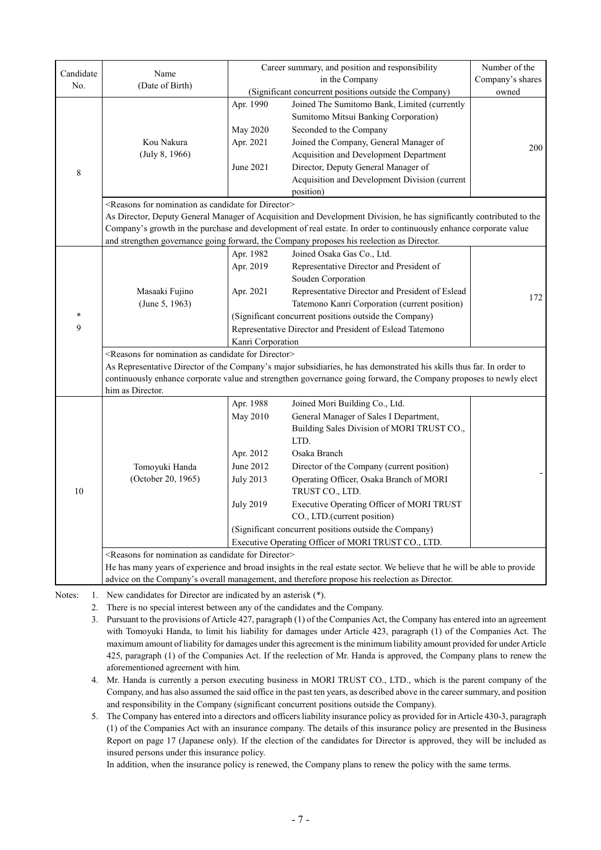|             |                                                                                                                          |                                                 | Career summary, and position and responsibility                                                                                                                                                                                                                                                          | Number of the    |
|-------------|--------------------------------------------------------------------------------------------------------------------------|-------------------------------------------------|----------------------------------------------------------------------------------------------------------------------------------------------------------------------------------------------------------------------------------------------------------------------------------------------------------|------------------|
| Candidate   | Name                                                                                                                     | in the Company                                  |                                                                                                                                                                                                                                                                                                          | Company's shares |
| No.         | (Date of Birth)                                                                                                          |                                                 | (Significant concurrent positions outside the Company)                                                                                                                                                                                                                                                   | owned            |
| $\,$ 8 $\,$ | Kou Nakura<br>(July 8, 1966)                                                                                             | Apr. 1990<br>May 2020<br>Apr. 2021<br>June 2021 | Joined The Sumitomo Bank, Limited (currently<br>Sumitomo Mitsui Banking Corporation)<br>Seconded to the Company<br>Joined the Company, General Manager of<br>Acquisition and Development Department<br>Director, Deputy General Manager of<br>Acquisition and Development Division (current<br>position) | 200              |
|             | <reasons as="" candidate="" director="" for="" nomination=""></reasons>                                                  |                                                 |                                                                                                                                                                                                                                                                                                          |                  |
|             |                                                                                                                          |                                                 | As Director, Deputy General Manager of Acquisition and Development Division, he has significantly contributed to the                                                                                                                                                                                     |                  |
|             |                                                                                                                          |                                                 | Company's growth in the purchase and development of real estate. In order to continuously enhance corporate value                                                                                                                                                                                        |                  |
|             |                                                                                                                          |                                                 | and strengthen governance going forward, the Company proposes his reelection as Director.                                                                                                                                                                                                                |                  |
|             |                                                                                                                          | Apr. 1982                                       | Joined Osaka Gas Co., Ltd.                                                                                                                                                                                                                                                                               |                  |
|             |                                                                                                                          | Apr. 2019                                       | Representative Director and President of                                                                                                                                                                                                                                                                 |                  |
|             |                                                                                                                          |                                                 | Souden Corporation                                                                                                                                                                                                                                                                                       |                  |
|             | Masaaki Fujino                                                                                                           | Apr. 2021                                       | Representative Director and President of Eslead                                                                                                                                                                                                                                                          | 172              |
|             | (June 5, 1963)                                                                                                           |                                                 | Tatemono Kanri Corporation (current position)                                                                                                                                                                                                                                                            |                  |
| *           |                                                                                                                          |                                                 | (Significant concurrent positions outside the Company)                                                                                                                                                                                                                                                   |                  |
| 9           |                                                                                                                          |                                                 | Representative Director and President of Eslead Tatemono                                                                                                                                                                                                                                                 |                  |
|             |                                                                                                                          | Kanri Corporation                               |                                                                                                                                                                                                                                                                                                          |                  |
|             | <reasons as="" candidate="" director="" for="" nomination=""></reasons>                                                  |                                                 |                                                                                                                                                                                                                                                                                                          |                  |
|             |                                                                                                                          |                                                 | As Representative Director of the Company's major subsidiaries, he has demonstrated his skills thus far. In order to                                                                                                                                                                                     |                  |
|             | him as Director.                                                                                                         |                                                 | continuously enhance corporate value and strengthen governance going forward, the Company proposes to newly elect                                                                                                                                                                                        |                  |
|             |                                                                                                                          | Apr. 1988                                       | Joined Mori Building Co., Ltd.                                                                                                                                                                                                                                                                           |                  |
|             |                                                                                                                          | May 2010                                        | General Manager of Sales I Department,                                                                                                                                                                                                                                                                   |                  |
|             |                                                                                                                          |                                                 | Building Sales Division of MORI TRUST CO.,                                                                                                                                                                                                                                                               |                  |
|             |                                                                                                                          |                                                 | LTD.                                                                                                                                                                                                                                                                                                     |                  |
|             |                                                                                                                          | Apr. 2012                                       | Osaka Branch                                                                                                                                                                                                                                                                                             |                  |
|             | Tomoyuki Handa                                                                                                           | June 2012                                       | Director of the Company (current position)                                                                                                                                                                                                                                                               |                  |
|             | (October 20, 1965)                                                                                                       | <b>July 2013</b>                                | Operating Officer, Osaka Branch of MORI                                                                                                                                                                                                                                                                  |                  |
| 10          |                                                                                                                          |                                                 | TRUST CO., LTD.                                                                                                                                                                                                                                                                                          |                  |
|             |                                                                                                                          | <b>July 2019</b>                                | Executive Operating Officer of MORI TRUST                                                                                                                                                                                                                                                                |                  |
|             |                                                                                                                          |                                                 | CO., LTD.(current position)                                                                                                                                                                                                                                                                              |                  |
|             |                                                                                                                          |                                                 | (Significant concurrent positions outside the Company)                                                                                                                                                                                                                                                   |                  |
|             |                                                                                                                          |                                                 | Executive Operating Officer of MORI TRUST CO., LTD.                                                                                                                                                                                                                                                      |                  |
|             | <reasons as="" candidate="" director="" for="" nomination=""></reasons>                                                  |                                                 |                                                                                                                                                                                                                                                                                                          |                  |
|             | He has many years of experience and broad insights in the real estate sector. We believe that he will be able to provide |                                                 |                                                                                                                                                                                                                                                                                                          |                  |
|             |                                                                                                                          |                                                 | advice on the Company's overall management, and therefore propose his reelection as Director.                                                                                                                                                                                                            |                  |
| Notar:      | New condidates for Director are indicated by an asterial $(*)$                                                           |                                                 |                                                                                                                                                                                                                                                                                                          |                  |

Notes: 1. New candidates for Director are indicated by an asterisk (\*).

2. There is no special interest between any of the candidates and the Company.

3. Pursuant to the provisions of Article 427, paragraph (1) of the Companies Act, the Company has entered into an agreement with Tomoyuki Handa, to limit his liability for damages under Article 423, paragraph (1) of the Companies Act. The maximum amount of liability for damages under this agreement is the minimum liability amount provided for under Article 425, paragraph (1) of the Companies Act. If the reelection of Mr. Handa is approved, the Company plans to renew the aforementioned agreement with him.

4. Mr. Handa is currently a person executing business in MORI TRUST CO., LTD., which is the parent company of the Company, and has also assumed the said office in the past ten years, as described above in the career summary, and position and responsibility in the Company (significant concurrent positions outside the Company).

5. The Company has entered into a directors and officers liability insurance policy as provided for in Article 430-3, paragraph (1) of the Companies Act with an insurance company. The details of this insurance policy are presented in the Business Report on page 17 (Japanese only). If the election of the candidates for Director is approved, they will be included as insured persons under this insurance policy.

In addition, when the insurance policy is renewed, the Company plans to renew the policy with the same terms.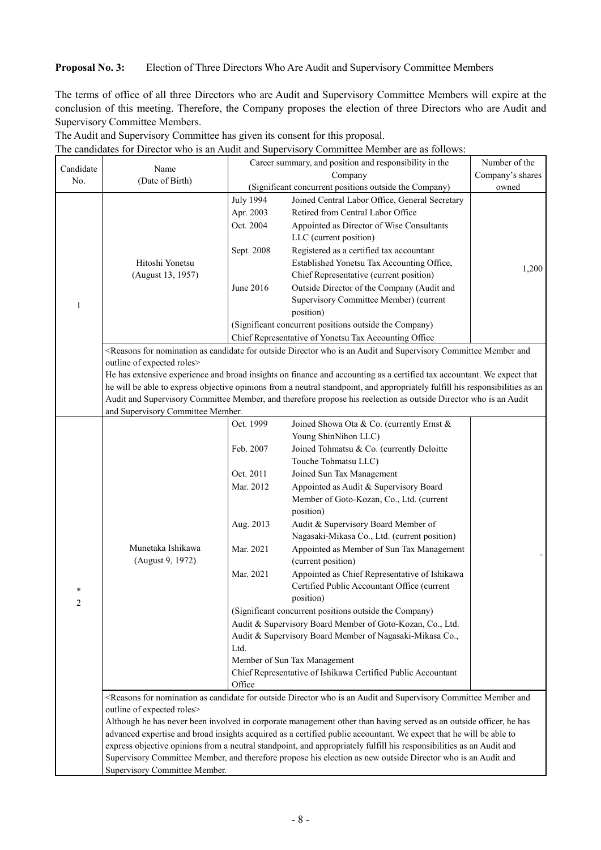### **Proposal No. 3:** Election of Three Directors Who Are Audit and Supervisory Committee Members

The candidates for Director who is an Audit and Supervisory Committee Member are as follows:

The terms of office of all three Directors who are Audit and Supervisory Committee Members will expire at the conclusion of this meeting. Therefore, the Company proposes the election of three Directors who are Audit and Supervisory Committee Members.

| Candidate      | Name                              | Career summary, and position and responsibility in the |                                                                                                                                                                                                                                          | Number of the    |
|----------------|-----------------------------------|--------------------------------------------------------|------------------------------------------------------------------------------------------------------------------------------------------------------------------------------------------------------------------------------------------|------------------|
| No.            | (Date of Birth)                   |                                                        | Company                                                                                                                                                                                                                                  | Company's shares |
|                |                                   |                                                        | (Significant concurrent positions outside the Company)                                                                                                                                                                                   | owned            |
|                | <b>July 1994</b>                  | Joined Central Labor Office, General Secretary         |                                                                                                                                                                                                                                          |                  |
|                |                                   | Apr. 2003                                              | Retired from Central Labor Office                                                                                                                                                                                                        |                  |
|                |                                   | Oct. 2004                                              | Appointed as Director of Wise Consultants                                                                                                                                                                                                |                  |
|                |                                   |                                                        | LLC (current position)                                                                                                                                                                                                                   |                  |
|                |                                   | Sept. 2008                                             | Registered as a certified tax accountant                                                                                                                                                                                                 |                  |
|                | Hitoshi Yonetsu                   |                                                        | Established Yonetsu Tax Accounting Office,                                                                                                                                                                                               | 1,200            |
|                | (August 13, 1957)                 |                                                        | Chief Representative (current position)                                                                                                                                                                                                  |                  |
|                |                                   | June 2016                                              | Outside Director of the Company (Audit and                                                                                                                                                                                               |                  |
| 1              |                                   |                                                        | Supervisory Committee Member) (current                                                                                                                                                                                                   |                  |
|                |                                   |                                                        | position)                                                                                                                                                                                                                                |                  |
|                |                                   |                                                        | (Significant concurrent positions outside the Company)                                                                                                                                                                                   |                  |
|                |                                   |                                                        | Chief Representative of Yonetsu Tax Accounting Office                                                                                                                                                                                    |                  |
|                |                                   |                                                        | <reasons an="" and="" and<="" as="" audit="" candidate="" committee="" director="" for="" is="" member="" nomination="" outside="" supervisory="" td="" who=""><td></td></reasons>                                                       |                  |
|                | outline of expected roles>        |                                                        |                                                                                                                                                                                                                                          |                  |
|                |                                   |                                                        | He has extensive experience and broad insights on finance and accounting as a certified tax accountant. We expect that                                                                                                                   |                  |
|                |                                   |                                                        | he will be able to express objective opinions from a neutral standpoint, and appropriately fulfill his responsibilities as an                                                                                                            |                  |
|                |                                   |                                                        | Audit and Supervisory Committee Member, and therefore propose his reelection as outside Director who is an Audit                                                                                                                         |                  |
|                | and Supervisory Committee Member. |                                                        |                                                                                                                                                                                                                                          |                  |
|                |                                   | Oct. 1999                                              | Joined Showa Ota & Co. (currently Ernst &                                                                                                                                                                                                |                  |
|                |                                   |                                                        | Young ShinNihon LLC)                                                                                                                                                                                                                     |                  |
|                |                                   | Feb. 2007                                              | Joined Tohmatsu & Co. (currently Deloitte                                                                                                                                                                                                |                  |
|                |                                   |                                                        | Touche Tohmatsu LLC)                                                                                                                                                                                                                     |                  |
|                |                                   | Oct. 2011                                              | Joined Sun Tax Management                                                                                                                                                                                                                |                  |
|                |                                   | Mar. 2012                                              | Appointed as Audit & Supervisory Board                                                                                                                                                                                                   |                  |
|                |                                   |                                                        | Member of Goto-Kozan, Co., Ltd. (current                                                                                                                                                                                                 |                  |
|                |                                   |                                                        | position)                                                                                                                                                                                                                                |                  |
|                |                                   | Aug. 2013                                              | Audit & Supervisory Board Member of                                                                                                                                                                                                      |                  |
|                |                                   |                                                        | Nagasaki-Mikasa Co., Ltd. (current position)                                                                                                                                                                                             |                  |
|                | Munetaka Ishikawa                 | Mar. 2021                                              | Appointed as Member of Sun Tax Management                                                                                                                                                                                                |                  |
|                | (August 9, 1972)                  |                                                        | (current position)                                                                                                                                                                                                                       |                  |
|                |                                   | Mar. 2021                                              | Appointed as Chief Representative of Ishikawa                                                                                                                                                                                            |                  |
| *              |                                   |                                                        | Certified Public Accountant Office (current                                                                                                                                                                                              |                  |
| $\overline{c}$ |                                   |                                                        | position)                                                                                                                                                                                                                                |                  |
|                |                                   |                                                        | (Significant concurrent positions outside the Company)                                                                                                                                                                                   |                  |
|                |                                   |                                                        | Audit & Supervisory Board Member of Goto-Kozan, Co., Ltd.                                                                                                                                                                                |                  |
|                |                                   |                                                        | Audit & Supervisory Board Member of Nagasaki-Mikasa Co.,                                                                                                                                                                                 |                  |
|                |                                   | Ltd.                                                   |                                                                                                                                                                                                                                          |                  |
|                |                                   | Member of Sun Tax Management                           |                                                                                                                                                                                                                                          |                  |
|                |                                   |                                                        | Chief Representative of Ishikawa Certified Public Accountant                                                                                                                                                                             |                  |
|                |                                   | Office                                                 |                                                                                                                                                                                                                                          |                  |
|                |                                   |                                                        | <reasons an="" and="" and<="" as="" audit="" candidate="" committee="" director="" for="" is="" member="" nomination="" outside="" supervisory="" td="" who=""><td></td></reasons>                                                       |                  |
|                | outline of expected roles>        |                                                        |                                                                                                                                                                                                                                          |                  |
|                |                                   |                                                        | Although he has never been involved in corporate management other than having served as an outside officer, he has<br>advanced expertise and broad insights acquired as a certified public accountant. We expect that he will be able to |                  |
|                |                                   |                                                        | express objective opinions from a neutral standpoint, and appropriately fulfill his responsibilities as an Audit and                                                                                                                     |                  |
|                |                                   |                                                        | Supervisory Committee Member, and therefore propose his election as new outside Director who is an Audit and                                                                                                                             |                  |
|                | Supervisory Committee Member.     |                                                        |                                                                                                                                                                                                                                          |                  |

The Audit and Supervisory Committee has given its consent for this proposal.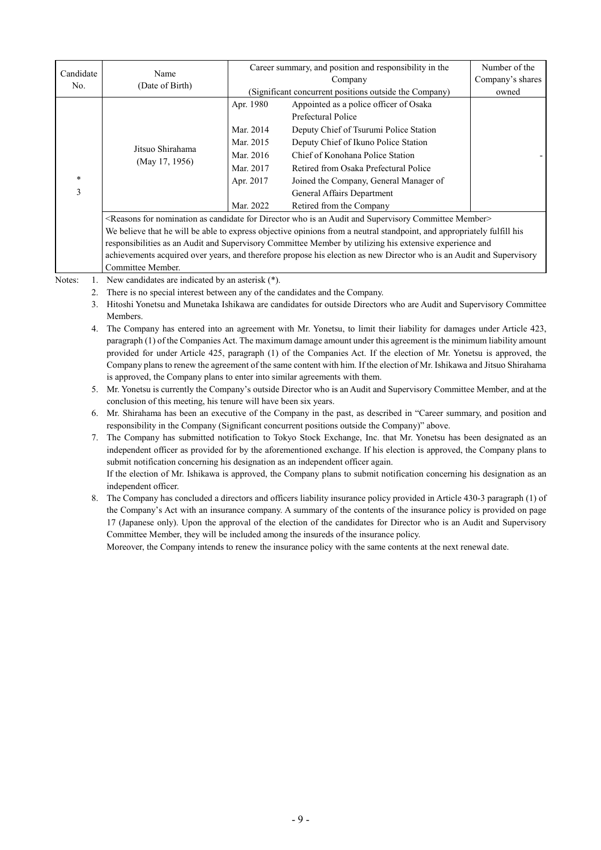| Candidate | Name                                                                                                                                             |           | Career summary, and position and responsibility in the | Number of the    |
|-----------|--------------------------------------------------------------------------------------------------------------------------------------------------|-----------|--------------------------------------------------------|------------------|
| No.       | (Date of Birth)                                                                                                                                  | Company   |                                                        | Company's shares |
|           |                                                                                                                                                  |           | (Significant concurrent positions outside the Company) | owned            |
|           |                                                                                                                                                  | Apr. 1980 | Appointed as a police officer of Osaka                 |                  |
|           |                                                                                                                                                  |           | Prefectural Police                                     |                  |
|           |                                                                                                                                                  | Mar. 2014 | Deputy Chief of Tsurumi Police Station                 |                  |
|           |                                                                                                                                                  | Mar. 2015 | Deputy Chief of Ikuno Police Station                   |                  |
|           | Jitsuo Shirahama                                                                                                                                 | Mar. 2016 | Chief of Konohana Police Station                       |                  |
|           | (May 17, 1956)<br>$*$<br>3                                                                                                                       | Mar. 2017 | Retired from Osaka Prefectural Police                  |                  |
|           |                                                                                                                                                  | Apr. 2017 | Joined the Company, General Manager of                 |                  |
|           |                                                                                                                                                  |           | General Affairs Department                             |                  |
|           |                                                                                                                                                  | Mar. 2022 | Retired from the Company                               |                  |
|           | <reasons an="" and="" as="" audit="" candidate="" committee="" director="" for="" is="" member="" nomination="" supervisory="" who=""></reasons> |           |                                                        |                  |
|           | We believe that he will be able to express objective opinions from a neutral standpoint, and appropriately fulfill his                           |           |                                                        |                  |
|           | responsibilities as an Audit and Supervisory Committee Member by utilizing his extensive experience and                                          |           |                                                        |                  |
|           | achievements acquired over years, and therefore propose his election as new Director who is an Audit and Supervisory                             |           |                                                        |                  |
|           | Committee Member.                                                                                                                                |           |                                                        |                  |
| Notes:    | New candidates are indicated by an asterisk (*).                                                                                                 |           |                                                        |                  |

- 2. There is no special interest between any of the candidates and the Company.
- 3. Hitoshi Yonetsu and Munetaka Ishikawa are candidates for outside Directors who are Audit and Supervisory Committee Members.
- 4. The Company has entered into an agreement with Mr. Yonetsu, to limit their liability for damages under Article 423, paragraph (1) of the Companies Act. The maximum damage amount under this agreement is the minimum liability amount provided for under Article 425, paragraph (1) of the Companies Act. If the election of Mr. Yonetsu is approved, the Company plans to renew the agreement of the same content with him. If the election of Mr. Ishikawa and Jitsuo Shirahama is approved, the Company plans to enter into similar agreements with them.

5. Mr. Yonetsu is currently the Company's outside Director who is an Audit and Supervisory Committee Member, and at the conclusion of this meeting, his tenure will have been six years.

- 6. Mr. Shirahama has been an executive of the Company in the past, as described in "Career summary, and position and responsibility in the Company (Significant concurrent positions outside the Company)" above.
- 7. The Company has submitted notification to Tokyo Stock Exchange, Inc. that Mr. Yonetsu has been designated as an independent officer as provided for by the aforementioned exchange. If his election is approved, the Company plans to submit notification concerning his designation as an independent officer again.

If the election of Mr. Ishikawa is approved, the Company plans to submit notification concerning his designation as an independent officer.

8. The Company has concluded a directors and officers liability insurance policy provided in Article 430-3 paragraph (1) of the Company's Act with an insurance company. A summary of the contents of the insurance policy is provided on page 17 (Japanese only). Upon the approval of the election of the candidates for Director who is an Audit and Supervisory Committee Member, they will be included among the insureds of the insurance policy.

Moreover, the Company intends to renew the insurance policy with the same contents at the next renewal date.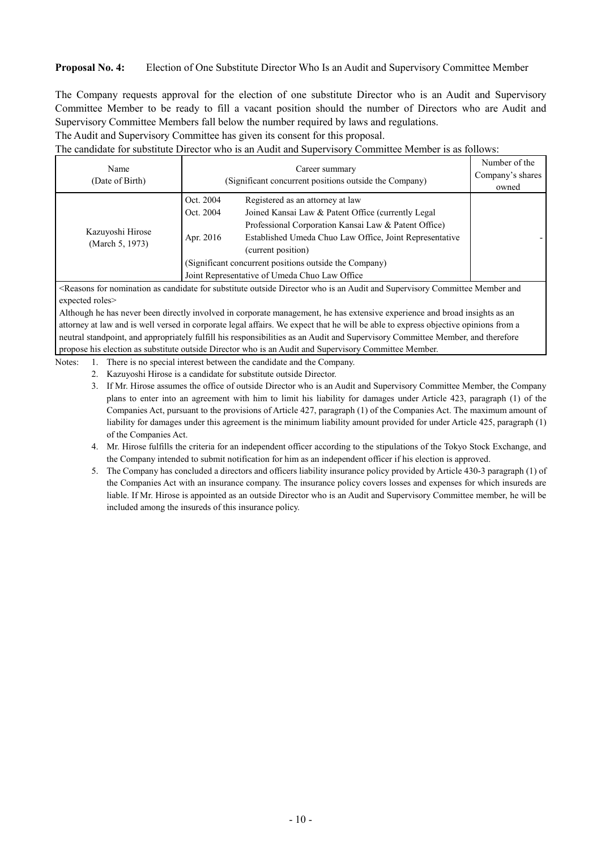### **Proposal No. 4:** Election of One Substitute Director Who Is an Audit and Supervisory Committee Member

The Company requests approval for the election of one substitute Director who is an Audit and Supervisory Committee Member to be ready to fill a vacant position should the number of Directors who are Audit and Supervisory Committee Members fall below the number required by laws and regulations.

The Audit and Supervisory Committee has given its consent for this proposal.

The candidate for substitute Director who is an Audit and Supervisory Committee Member is as follows:

| Name<br>(Date of Birth)             | Career summary<br>(Significant concurrent positions outside the Company) |                                                                                                                                                                                                                                                                                                                                             | Number of the<br>Company's shares<br>owned |
|-------------------------------------|--------------------------------------------------------------------------|---------------------------------------------------------------------------------------------------------------------------------------------------------------------------------------------------------------------------------------------------------------------------------------------------------------------------------------------|--------------------------------------------|
| Kazuyoshi Hirose<br>(March 5, 1973) | Oct. 2004<br>Oct. 2004<br>Apr. 2016                                      | Registered as an attorney at law<br>Joined Kansai Law & Patent Office (currently Legal)<br>Professional Corporation Kansai Law & Patent Office)<br>Established Umeda Chuo Law Office, Joint Representative<br>(current position)<br>(Significant concurrent positions outside the Company)<br>Joint Representative of Umeda Chuo Law Office |                                            |

<Reasons for nomination as candidate for substitute outside Director who is an Audit and Supervisory Committee Member and expected roles>

Although he has never been directly involved in corporate management, he has extensive experience and broad insights as an attorney at law and is well versed in corporate legal affairs. We expect that he will be able to express objective opinions from a neutral standpoint, and appropriately fulfill his responsibilities as an Audit and Supervisory Committee Member, and therefore propose his election as substitute outside Director who is an Audit and Supervisory Committee Member.

- Notes: 1. There is no special interest between the candidate and the Company.
	- 2. Kazuyoshi Hirose is a candidate for substitute outside Director.
	- 3. If Mr. Hirose assumes the office of outside Director who is an Audit and Supervisory Committee Member, the Company plans to enter into an agreement with him to limit his liability for damages under Article 423, paragraph (1) of the Companies Act, pursuant to the provisions of Article 427, paragraph (1) of the Companies Act. The maximum amount of liability for damages under this agreement is the minimum liability amount provided for under Article 425, paragraph (1) of the Companies Act.
	- 4. Mr. Hirose fulfills the criteria for an independent officer according to the stipulations of the Tokyo Stock Exchange, and the Company intended to submit notification for him as an independent officer if his election is approved.
	- 5. The Company has concluded a directors and officers liability insurance policy provided by Article 430-3 paragraph (1) of the Companies Act with an insurance company. The insurance policy covers losses and expenses for which insureds are liable. If Mr. Hirose is appointed as an outside Director who is an Audit and Supervisory Committee member, he will be included among the insureds of this insurance policy.